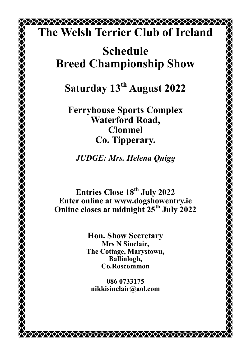## \*\*\*\*\*\*\*\*\*\*\*\*\*\*\*\*\*\*\*\*\*\*\*\*\*\*\*\*\*\*\*\*\*\*\*\*\*\* **The Welsh Terrier Club of Ireland**

# **Schedule Breed Championship Show**

**Saturday 13th August 2022**

**Ferryhouse Sports Complex Waterford Road, Clonmel Co. Tipperary.**

*JUDGE: Mrs. Helena Quigg* 

**Entries Close 18th July 2022 Enter online at www.dogshowentry.ie Online closes at midnight 25th July 2022**

> **Hon. Show Secretary Mrs N Sinclair, The Cottage, Marystown, Ballinlogh, Co.Roscommon**

**[086 0733175](tel:0860733175) [nikkisinclair@aol.com](mailto:nikkisinclair@aol.com)**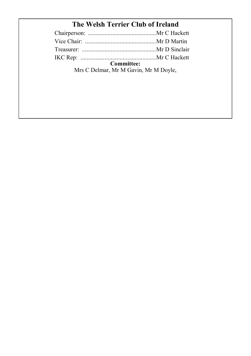## **The Welsh Terrier Club of Ireland**

| Committee:                            |  |
|---------------------------------------|--|
| Mrs C Delmar, Mr M Gavin, Mr M Doyle, |  |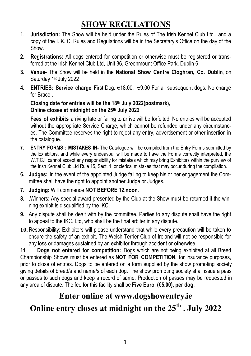## **SHOW REGULATIONS**

- 1. **Jurisdiction:** The Show will be held under the Rules of The Irish Kennel Club Ltd., and a copy of the I. K. C. Rules and Regulations will be in the Secretary's Office on the day of the Show.
- **2. Registrations:** All dogs entered for competition or otherwise must be registered or transferred at the Irish Kennel Club Ltd, Unit 36, Greenmount Office Park, Dublin 6
- **3. Venue-** The Show will be held in the **National Show Centre Cloghran, Co. Dublin**, on Saturday 1<sup>st</sup> July 2022
- **4. ENTRIES: Service charge** First Dog: €18.00, €9.00 For all subsequent dogs. No charge for Brace..

**Closing date for entries will be the 18th July 2022(postmark), Online closes at midnight on the 25th July 2022**

**Fees of exhibits** arriving late or failing to arrive will be forfeited. No entries will be accepted without the appropriate Service Charge, which cannot be refunded under any circumstances. The Committee reserves the right to reject any entry, advertisement or other insertion in the catalogue.

- **7. ENTRY FORMS : MISTAKES IN-** The Catalogue will be compiled from the Entry Forms submitted by the Exhibitors, and while every endeavour will be made to have the Forms correctly interpreted, the W.T.C.I. cannot accept any responsibility for mistakes which may bring Exhibitors within the purview of the Irish Kennel Club Ltd Rule 15, Sect. 1, or clerical mistakes that may occur during the compilation.
- **6. Judges:** In the event of the appointed Judge failing to keep his or her engagement the Committee shall have the right to appoint another Judge or Judges.
- **7. Judging:** Will commence **NOT BEFORE 12.noon**.
- **8.** .Winners: Any special award presented by the Club at the Show must be returned if the winning exhibit is disqualified by the IKC.
- **9.** Any dispute shall be dealt with by the committee, Parties to any dispute shall have the right to appeal to the IKC. Ltd, who shall be the final arbiter in any dispute.
- **10.** Responsibility: Exhibitors will please understand that while every precaution will be taken to ensure the safety of an exhibit, The Welsh Terrier Club of Ireland will not be responsible for any loss or damages sustained by an exhibitor through accident or otherwise.

**11 Dogs not entered for competition:** Dogs which are not being exhibited at all Breed Championship Shows must be entered as **NOT FOR COMPETITION,** for insurance purposes, prior to close of entries. Dogs to be entered on a form supplied by the show promoting society giving details of breed/s and name/s of each dog. The show promoting society shall issue a pass or passes to such dogs and keep a record of same. Production of passes may be requested in any area of dispute. The fee for this facility shall be **Five Euro, (€5.00), per dog**.

### **Enter online at www.dogshowentry.ie**

### **Online entry closes at midnight on the 25th . July 2022**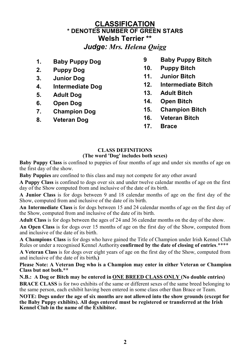### **CLASSIFICATION \* DENOTES NUMBER OF GREEN STARS Welsh Terrier \*\*** *Judge: Mrs. Helena Quigg*

- **1. Baby Puppy Dog**
- **2. Puppy Dog**
- **3. Junior Dog**
- **4. Intermediate Dog**
- **5. Adult Dog**
- **6. Open Dog**
- **7. Champion Dog**
- **8. Veteran Dog**
- **9 Baby Puppy Bitch**
- **10. Puppy Bitch**
- **11. Junior Bitch**
- **12. Intermediate Bitch**
- **13. Adult Bitch**
- **14. Open Bitch**
- **15. Champion Bitch**
- **16. Veteran Bitch**
- **17. Brace**

#### **CLASS DEFINITIONS (The word 'Dog' includes both sexes)**

**Baby Puppy Class** is confined to puppies of four months of age and under six months of age on the first day of the show.

**Baby Puppies** are confined to this class and may not compete for any other award

**A Puppy Class** is confined to dogs over six and under twelve calendar months of age on the first day of the Show computed from and inclusive of the date of its birth.

**A Junior Class** is for dogs between 9 and 18 calendar months of age on the first day of the Show, computed from and inclusive of the date of its birth.

**An Intermediate Class** is for dogs between 15 and 24 calendar months of age on the first day of the Show, computed from and inclusive of the date of its birth.

**Adult Class** is for dogs between the ages of 24 and 36 calendar months on the day of the show.

**An Open Class** is for dogs over 15 months of age on the first day of the Show, computed from and inclusive of the date of its birth.

**A Champions Class** is for dogs who have gained the Title of Champion under Irish Kennel Club Rules or under a recognised Kennel Authority **confirmed by the date of closing of entries**.\*\*\*\*

**A Veteran Class** is for dogs over eight years of age on the first day of the Show, computed from and inclusive of the date of its birth**.)**

**Please Note: A Veteran Dog who is a Champion may enter in either Veteran or Champion Class but not both.\*\***

**N.B.: A Dog or Bitch may be entered in ONE BREED CLASS ONLY (No double entries) BRACE CLASS** is for two exhibits of the same or different sexes of the same breed belonging to the same person, each exhibit having been entered in some class other than Brace or Team.

**NOTE: Dogs under the age of six months are not allowed into the show grounds (except for the Baby Puppy exhibits). All dogs entered must be registered or transferred at the Irish Kennel Club in the name of the Exhibitor.**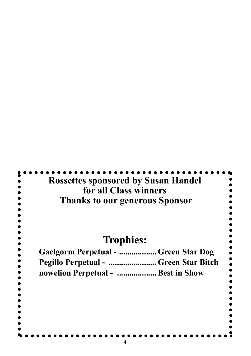| <b>Rossettes sponsored by Susan Handel</b><br>for all Class winners<br><b>Thanks to our generous Sponsor</b> |  |
|--------------------------------------------------------------------------------------------------------------|--|
| <b>Trophies:</b>                                                                                             |  |
| Gaelgorm Perpetual -  Green Star Dog                                                                         |  |
| Pegillo Perpetual -  Green Star Bitch                                                                        |  |
| nowelion Perpetual -  Best in Show                                                                           |  |
|                                                                                                              |  |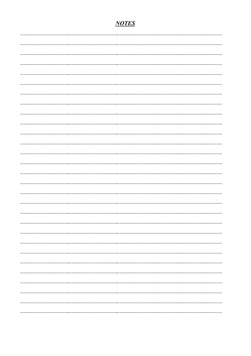#### **NOTES**